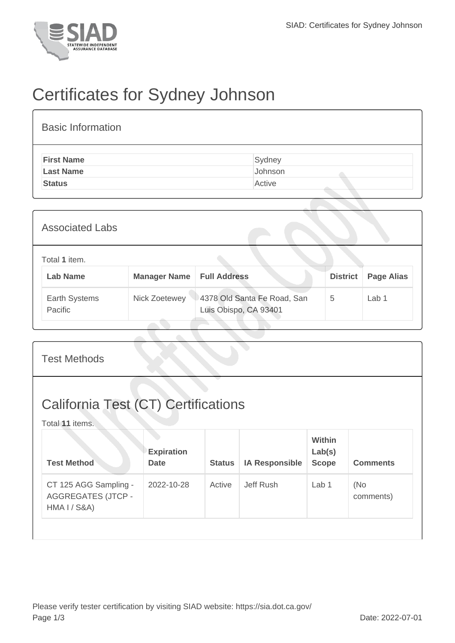

## Certificates for Sydney Johnson

| <b>Basic Information</b> |         |
|--------------------------|---------|
| <b>First Name</b>        | Sydney  |
| <b>Last Name</b>         | Johnson |
| <b>Status</b>            | Active  |

| <b>Associated Labs</b>           |               |                                                      |                 |                   |
|----------------------------------|---------------|------------------------------------------------------|-----------------|-------------------|
| Total 1 item.<br><b>Lab Name</b> | Manager Name  | <b>Full Address</b>                                  | <b>District</b> | <b>Page Alias</b> |
| Earth Systems<br>Pacific         | Nick Zoetewey | 4378 Old Santa Fe Road, San<br>Luis Obispo, CA 93401 | 5               | Lab 1             |

| <b>Test Methods</b>                                                |                                  |               |                       |                                         |                  |  |  |
|--------------------------------------------------------------------|----------------------------------|---------------|-----------------------|-----------------------------------------|------------------|--|--|
| <b>California Test (CT) Certifications</b><br>Total 11 items.      |                                  |               |                       |                                         |                  |  |  |
| <b>Test Method</b>                                                 | <b>Expiration</b><br><b>Date</b> | <b>Status</b> | <b>IA Responsible</b> | <b>Within</b><br>Lab(s)<br><b>Scope</b> | <b>Comments</b>  |  |  |
| CT 125 AGG Sampling -<br><b>AGGREGATES (JTCP -</b><br>HMA I / S&A) | 2022-10-28                       | Active        | Jeff Rush             | Lab <sub>1</sub>                        | (No<br>comments) |  |  |
|                                                                    |                                  |               |                       |                                         |                  |  |  |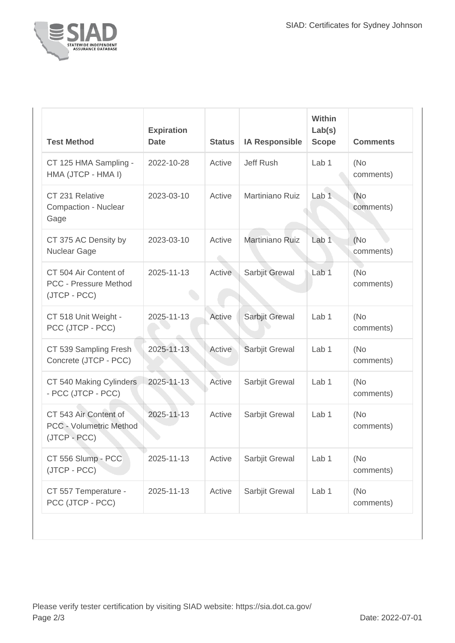

| <b>Test Method</b>                                                      | <b>Expiration</b><br><b>Date</b> | <b>Status</b> | <b>IA Responsible</b> | <b>Within</b><br>Lab(s)<br><b>Scope</b> | <b>Comments</b>   |
|-------------------------------------------------------------------------|----------------------------------|---------------|-----------------------|-----------------------------------------|-------------------|
| CT 125 HMA Sampling -<br>HMA (JTCP - HMA I)                             | 2022-10-28                       | Active        | Jeff Rush             | Lab <sub>1</sub>                        | (No<br>comments)  |
| CT 231 Relative<br><b>Compaction - Nuclear</b><br>Gage                  | 2023-03-10                       | Active        | Martiniano Ruiz       | Lab <sub>1</sub>                        | (No<br>comments)  |
| CT 375 AC Density by<br>Nuclear Gage                                    | 2023-03-10                       | Active        | Martiniano Ruiz       | Lab <sub>1</sub>                        | (No)<br>comments) |
| CT 504 Air Content of<br><b>PCC - Pressure Method</b><br>(JTCP - PCC)   | 2025-11-13                       | <b>Active</b> | Sarbjit Grewal        | Lab <sub>1</sub>                        | (No<br>comments)  |
| CT 518 Unit Weight -<br>PCC (JTCP - PCC)                                | 2025-11-13                       | Active        | Sarbjit Grewal        | Lab 1                                   | (No<br>comments)  |
| CT 539 Sampling Fresh<br>Concrete (JTCP - PCC)                          | 2025-11-13                       | Active        | Sarbjit Grewal        | Lab <sub>1</sub>                        | (No<br>comments)  |
| CT 540 Making Cylinders<br>- PCC (JTCP - PCC)                           | 2025-11-13                       | Active        | Sarbjit Grewal        | Lab 1                                   | (No<br>comments)  |
| CT 543 Air Content of<br><b>PCC - Volumetric Method</b><br>(JTCP - PCC) | 2025-11-13                       | Active        | Sarbjit Grewal        | Lab <sub>1</sub>                        | (No<br>comments)  |
| CT 556 Slump - PCC<br>(JTCP - PCC)                                      | 2025-11-13                       | Active        | Sarbjit Grewal        | Lab 1                                   | (No<br>comments)  |
| CT 557 Temperature -<br>PCC (JTCP - PCC)                                | 2025-11-13                       | Active        | Sarbjit Grewal        | Lab 1                                   | (No<br>comments)  |